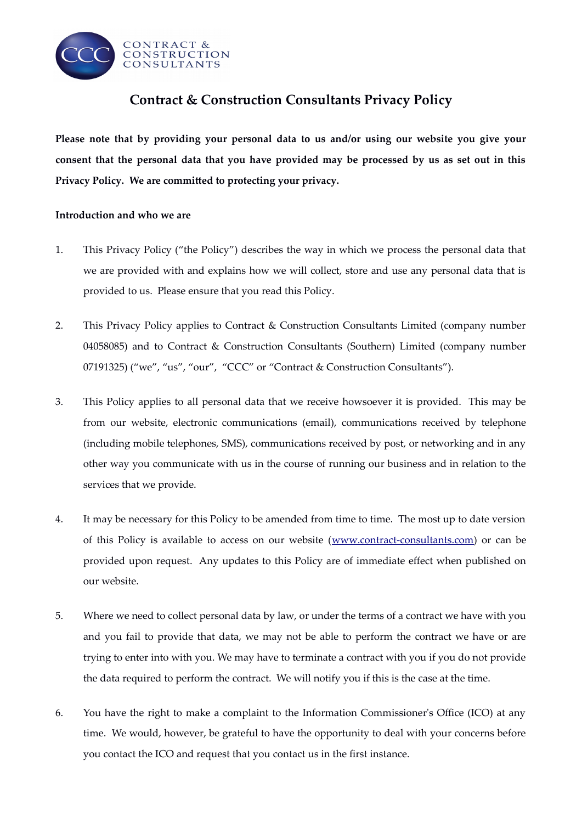

# **Contract & Construction Consultants Privacy Policy**

**Please note that by providing your personal data to us and/or using our website you give your consent that the personal data that you have provided may be processed by us as set out in this Privacy Policy. We are commited to protecting your privacy.**

# **Introduction and who we are**

- 1. This Privacy Policy ("the Policy") describes the way in which we process the personal data that we are provided with and explains how we will collect, store and use any personal data that is provided to us. Please ensure that you read this Policy.
- 2. This Privacy Policy applies to Contract & Construction Consultants Limited (company number 04058085) and to Contract & Construction Consultants (Southern) Limited (company number 07191325) ("we", "us", "our", "CCC" or "Contract & Construction Consultants").
- 3. This Policy applies to all personal data that we receive howsoever it is provided. This may be from our website, electronic communications (email), communications received by telephone (including mobile telephones, SMS), communications received by post, or networking and in any other way you communicate with us in the course of running our business and in relation to the services that we provide.
- 4. It may be necessary for this Policy to be amended from time to time. The most up to date version of this Policy is available to access on our website [\(www.contract-consultants.com\)](http://www.contract-consultants.com/) or can be provided upon request. Any updates to this Policy are of immediate efect when published on our website.
- 5. Where we need to collect personal data by law, or under the terms of a contract we have with you and you fail to provide that data, we may not be able to perform the contract we have or are trying to enter into with you. We may have to terminate a contract with you if you do not provide the data required to perform the contract. We will notify you if this is the case at the time.
- 6. You have the right to make a complaint to the Information Commissioner's Office (ICO) at any time. We would, however, be grateful to have the opportunity to deal with your concerns before you contact the ICO and request that you contact us in the frst instance.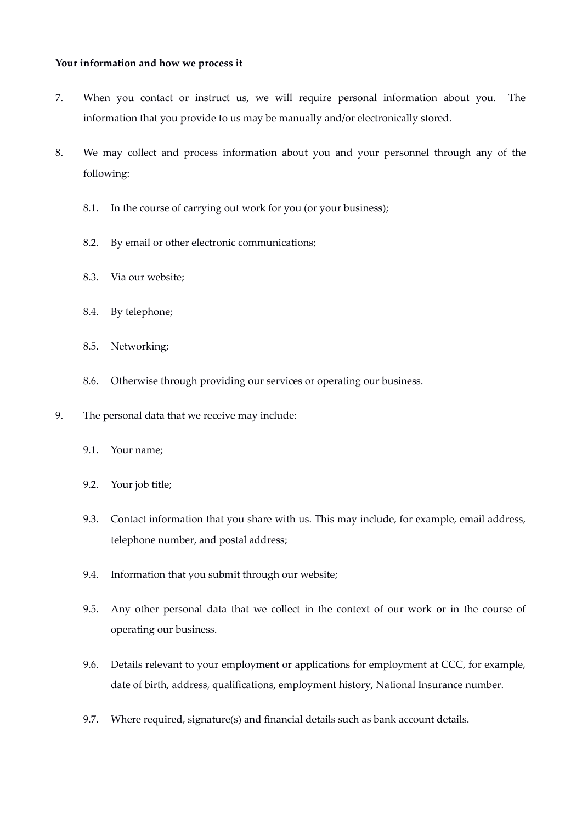#### **Your information and how we process it**

- 7. When you contact or instruct us, we will require personal information about you. The information that you provide to us may be manually and/or electronically stored.
- 8. We may collect and process information about you and your personnel through any of the following:
	- 8.1. In the course of carrying out work for you (or your business);
	- 8.2. By email or other electronic communications;
	- 8.3. Via our website;
	- 8.4. By telephone;
	- 8.5. Networking;
	- 8.6. Otherwise through providing our services or operating our business.
- 9. The personal data that we receive may include:
	- 9.1. Your name;
	- 9.2. Your job title;
	- 9.3. Contact information that you share with us. This may include, for example, email address, telephone number, and postal address;
	- 9.4. Information that you submit through our website;
	- 9.5. Any other personal data that we collect in the context of our work or in the course of operating our business.
	- 9.6. Details relevant to your employment or applications for employment at CCC, for example, date of birth, address, qualifications, employment history, National Insurance number.
	- 9.7. Where required, signature(s) and fnancial details such as bank account details.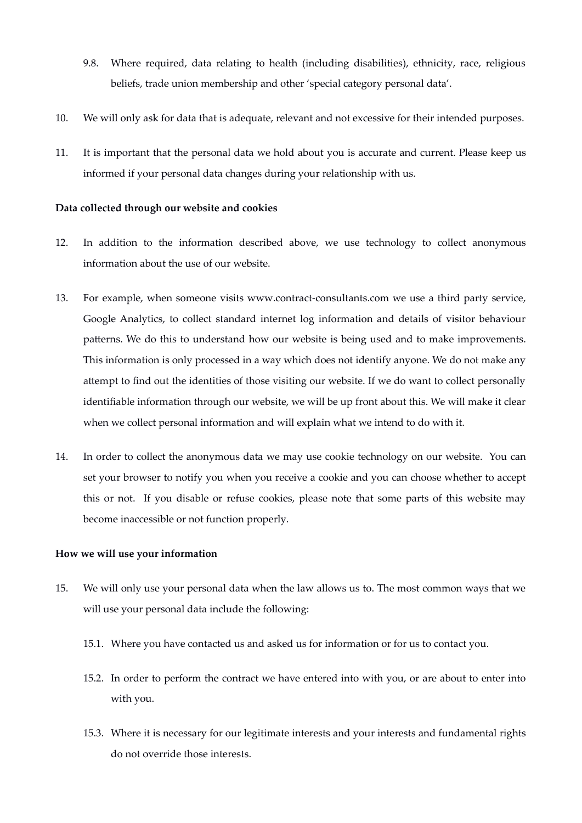- 9.8. Where required, data relating to health (including disabilities), ethnicity, race, religious beliefs, trade union membership and other 'special category personal data'.
- 10. We will only ask for data that is adequate, relevant and not excessive for their intended purposes.
- 11. It is important that the personal data we hold about you is accurate and current. Please keep us informed if your personal data changes during your relationship with us.

## **Data collected through our website and cookies**

- 12. In addition to the information described above, we use technology to collect anonymous information about the use of our website.
- 13. For example, when someone visits www.contract-consultants.com we use a third party service, Google Analytics, to collect standard internet log information and details of visitor behaviour patterns. We do this to understand how our website is being used and to make improvements. This information is only processed in a way which does not identify anyone. We do not make any attempt to fnd out the identities of those visiting our website. If we do want to collect personally identifable information through our website, we will be up front about this. We will make it clear when we collect personal information and will explain what we intend to do with it.
- 14. In order to collect the anonymous data we may use cookie technology on our website. You can set your browser to notify you when you receive a cookie and you can choose whether to accept this or not. If you disable or refuse cookies, please note that some parts of this website may become inaccessible or not function properly.

#### **How we will use your information**

- 15. We will only use your personal data when the law allows us to. The most common ways that we will use your personal data include the following:
	- 15.1. Where you have contacted us and asked us for information or for us to contact you.
	- 15.2. In order to perform the contract we have entered into with you, or are about to enter into with you.
	- 15.3. Where it is necessary for our legitimate interests and your interests and fundamental rights do not override those interests.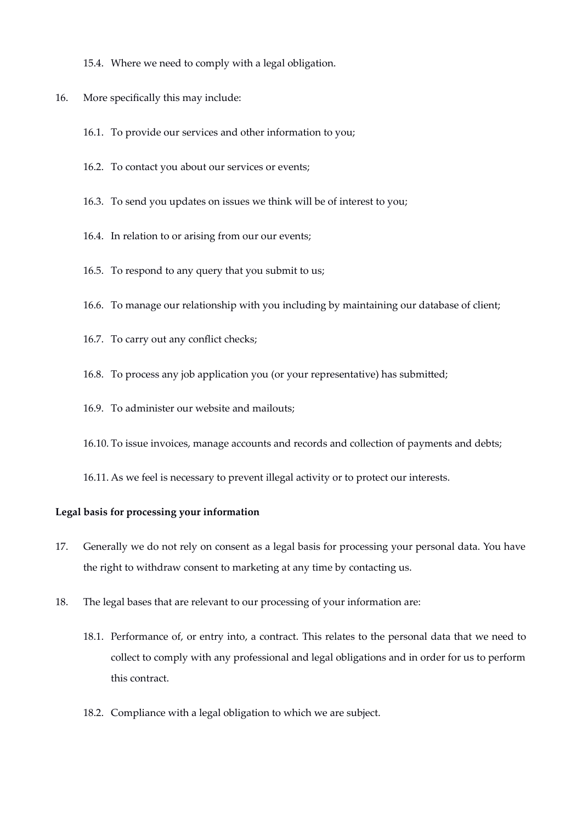- 15.4. Where we need to comply with a legal obligation.
- 16. More specifically this may include:
	- 16.1. To provide our services and other information to you;
	- 16.2. To contact you about our services or events;
	- 16.3. To send you updates on issues we think will be of interest to you;
	- 16.4. In relation to or arising from our our events;
	- 16.5. To respond to any query that you submit to us;
	- 16.6. To manage our relationship with you including by maintaining our database of client;
	- 16.7. To carry out any confict checks;
	- 16.8. To process any job application you (or your representative) has submitted;
	- 16.9. To administer our website and mailouts;
	- 16.10. To issue invoices, manage accounts and records and collection of payments and debts;
	- 16.11. As we feel is necessary to prevent illegal activity or to protect our interests.

#### **Legal basis for processing your information**

- 17. Generally we do not rely on consent as a legal basis for processing your personal data. You have the right to withdraw consent to marketing at any time by contacting us.
- 18. The legal bases that are relevant to our processing of your information are:
	- 18.1. Performance of, or entry into, a contract. This relates to the personal data that we need to collect to comply with any professional and legal obligations and in order for us to perform this contract.
	- 18.2. Compliance with a legal obligation to which we are subject.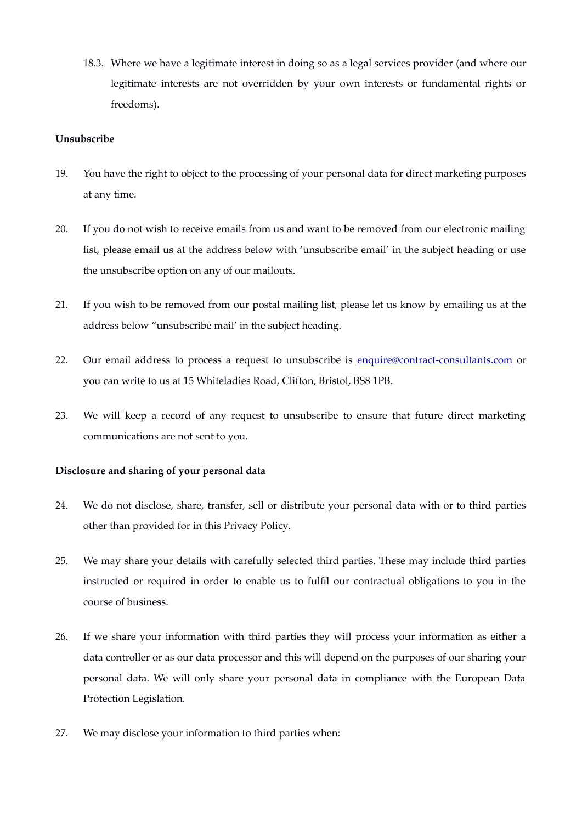18.3. Where we have a legitimate interest in doing so as a legal services provider (and where our legitimate interests are not overridden by your own interests or fundamental rights or freedoms).

# **Unsubscribe**

- 19. You have the right to object to the processing of your personal data for direct marketing purposes at any time.
- 20. If you do not wish to receive emails from us and want to be removed from our electronic mailing list, please email us at the address below with 'unsubscribe email' in the subject heading or use the unsubscribe option on any of our mailouts.
- 21. If you wish to be removed from our postal mailing list, please let us know by emailing us at the address below "unsubscribe mail' in the subject heading.
- 22. Our email address to process a request to unsubscribe is [enquire@contract-consultants.com](mailto:enquire@contract-consultants.com) or you can write to us at 15 Whiteladies Road, Clifton, Bristol, BS8 1PB.
- 23. We will keep a record of any request to unsubscribe to ensure that future direct marketing communications are not sent to you.

## **Disclosure and sharing of your personal data**

- 24. We do not disclose, share, transfer, sell or distribute your personal data with or to third parties other than provided for in this Privacy Policy.
- 25. We may share your details with carefully selected third parties. These may include third parties instructed or required in order to enable us to fulfl our contractual obligations to you in the course of business.
- 26. If we share your information with third parties they will process your information as either a data controller or as our data processor and this will depend on the purposes of our sharing your personal data. We will only share your personal data in compliance with the European Data Protection Legislation.
- 27. We may disclose your information to third parties when: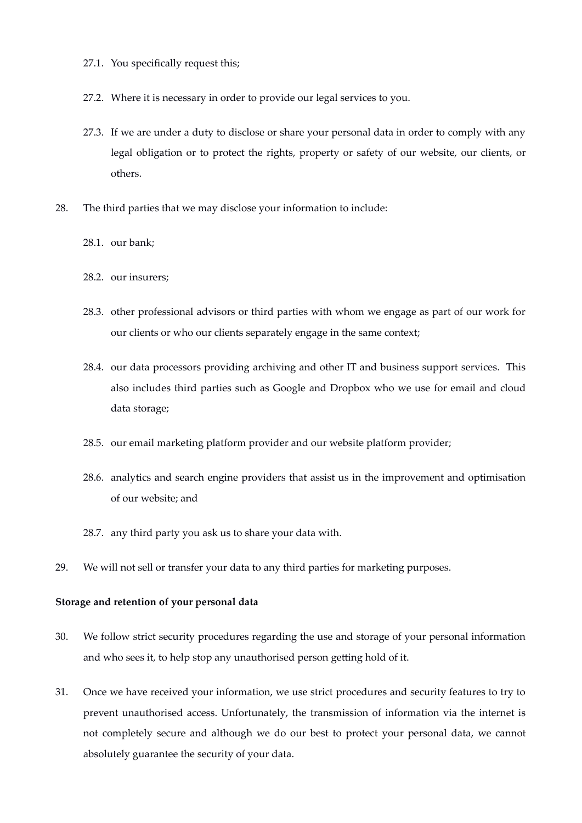- 27.1. You specifically request this;
- 27.2. Where it is necessary in order to provide our legal services to you.
- 27.3. If we are under a duty to disclose or share your personal data in order to comply with any legal obligation or to protect the rights, property or safety of our website, our clients, or others.
- 28. The third parties that we may disclose your information to include:
	- 28.1. our bank;
	- 28.2. our insurers;
	- 28.3. other professional advisors or third parties with whom we engage as part of our work for our clients or who our clients separately engage in the same context;
	- 28.4. our data processors providing archiving and other IT and business support services. This also includes third parties such as Google and Dropbox who we use for email and cloud data storage;
	- 28.5. our email marketing platform provider and our website platform provider;
	- 28.6. analytics and search engine providers that assist us in the improvement and optimisation of our website; and
	- 28.7. any third party you ask us to share your data with.
- 29. We will not sell or transfer your data to any third parties for marketing purposes.

#### **Storage and retention of your personal data**

- 30. We follow strict security procedures regarding the use and storage of your personal information and who sees it, to help stop any unauthorised person getting hold of it.
- 31. Once we have received your information, we use strict procedures and security features to try to prevent unauthorised access. Unfortunately, the transmission of information via the internet is not completely secure and although we do our best to protect your personal data, we cannot absolutely guarantee the security of your data.